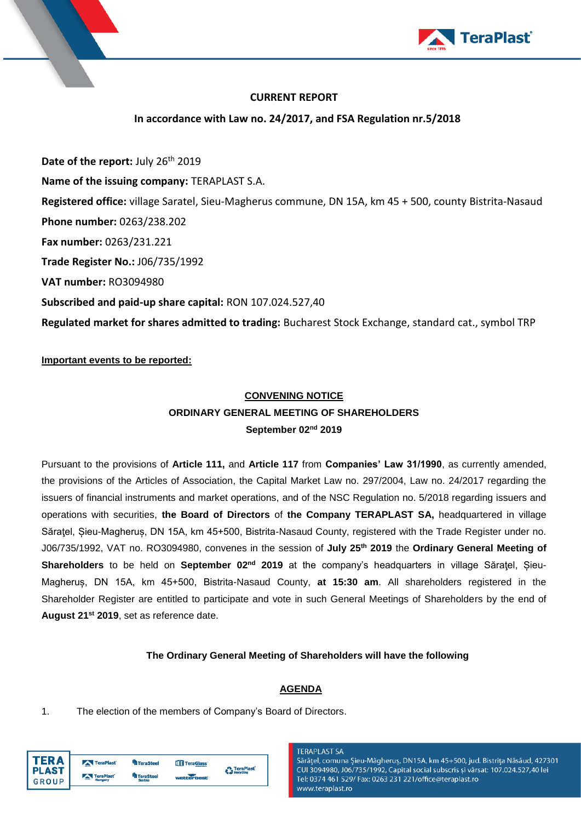

## **CURRENT REPORT**

**In accordance with Law no. 24/2017, and FSA Regulation nr.5/2018**

**Date of the report:** July 26th 2019 **Name of the issuing company:** TERAPLAST S.A. **Registered office:** village Saratel, Sieu-Magherus commune, DN 15A, km 45 + 500, county Bistrita-Nasaud **Phone number:** 0263/238.202 **Fax number:** 0263/231.221 **Trade Register No.:** J06/735/1992 **VAT number:** RO3094980 **Subscribed and paid-up share capital:** RON 107.024.527,40 **Regulated market for shares admitted to trading:** Bucharest Stock Exchange, standard cat., symbol TRP

### **Important events to be reported:**

# **CONVENING NOTICE ORDINARY GENERAL MEETING OF SHAREHOLDERS September 02nd 2019**

Pursuant to the provisions of **Article 111,** and **Article 117** from **Companies' Law 31/1990**, as currently amended, the provisions of the Articles of Association, the Capital Market Law no. 297/2004, Law no. 24/2017 regarding the issuers of financial instruments and market operations, and of the NSC Regulation no. 5/2018 regarding issuers and operations with securities, **the Board of Directors** of **the Company TERAPLAST SA,** headquartered in village Săratel, Sieu-Magherus, DN 15A, km 45+500, Bistrita-Nasaud County, registered with the Trade Register under no. J06/735/1992, VAT no. RO3094980, convenes in the session of **July 25th 2019** the **Ordinary General Meeting of Shareholders** to be held on **September 02nd 2019** at the company's headquarters in village Săraţel, Șieu-Magheruș, DN 15A, km 45+500, Bistrita-Nasaud County, **at 15:30 am**. All shareholders registered in the Shareholder Register are entitled to participate and vote in such General Meetings of Shareholders by the end of **August 21 st 2019**, set as reference date.

### **The Ordinary General Meeting of Shareholders will have the following**

### **AGENDA**

1. The election of the members of Company's Board of Directors.

| FR A                         | TeraPlast | <sup>4</sup> TeraSteel | TeraGlass' | <b>A</b> TeraPlast |
|------------------------------|-----------|------------------------|------------|--------------------|
| <b>PLAST</b><br><b>GROUP</b> | TeraPlast | TeraSteel<br>Serbia    | wetterbest | <b>Recycling</b>   |

#### **TERAPLAST SA**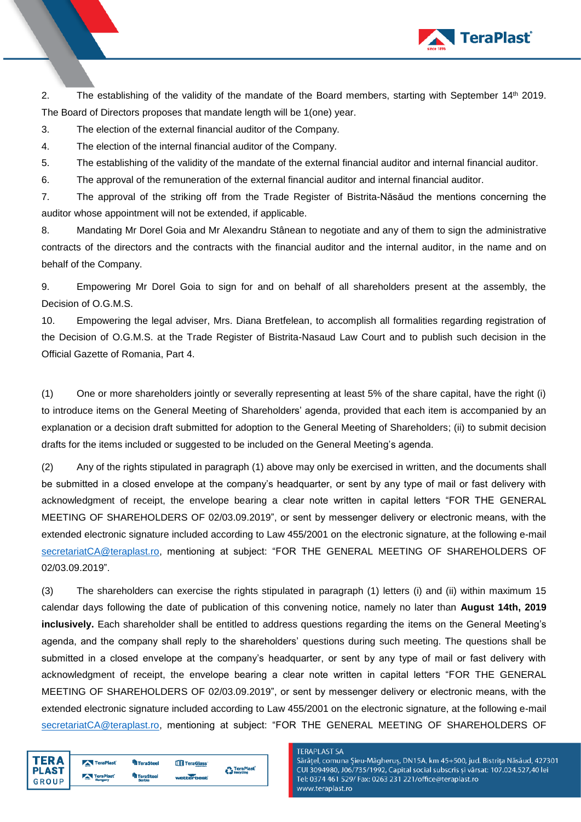

2. The establishing of the validity of the mandate of the Board members, starting with September 14<sup>th</sup> 2019. The Board of Directors proposes that mandate length will be 1(one) year.

3. The election of the external financial auditor of the Company.

4. The election of the internal financial auditor of the Company.

5. The establishing of the validity of the mandate of the external financial auditor and internal financial auditor.

6. The approval of the remuneration of the external financial auditor and internal financial auditor.

7. The approval of the striking off from the Trade Register of Bistrita-Năsăud the mentions concerning the auditor whose appointment will not be extended, if applicable.

8. Mandating Mr Dorel Goia and Mr Alexandru Stânean to negotiate and any of them to sign the administrative contracts of the directors and the contracts with the financial auditor and the internal auditor, in the name and on behalf of the Company.

9. Empowering Mr Dorel Goia to sign for and on behalf of all shareholders present at the assembly, the Decision of O.G.M.S.

10. Empowering the legal adviser, Mrs. Diana Bretfelean, to accomplish all formalities regarding registration of the Decision of O.G.M.S. at the Trade Register of Bistrita-Nasaud Law Court and to publish such decision in the Official Gazette of Romania, Part 4.

(1) One or more shareholders jointly or severally representing at least 5% of the share capital, have the right (i) to introduce items on the General Meeting of Shareholders' agenda, provided that each item is accompanied by an explanation or a decision draft submitted for adoption to the General Meeting of Shareholders; (ii) to submit decision drafts for the items included or suggested to be included on the General Meeting's agenda.

(2) Any of the rights stipulated in paragraph (1) above may only be exercised in written, and the documents shall be submitted in a closed envelope at the company's headquarter, or sent by any type of mail or fast delivery with acknowledgment of receipt, the envelope bearing a clear note written in capital letters "FOR THE GENERAL MEETING OF SHAREHOLDERS OF 02/03.09.2019", or sent by messenger delivery or electronic means, with the extended electronic signature included according to Law 455/2001 on the electronic signature, at the following e-mail [secretariatCA@teraplast.ro,](mailto:secretariatCA@teraplast.ro) mentioning at subject: "FOR THE GENERAL MEETING OF SHAREHOLDERS OF 02/03.09.2019".

(3) The shareholders can exercise the rights stipulated in paragraph (1) letters (i) and (ii) within maximum 15 calendar days following the date of publication of this convening notice, namely no later than **August 14th, 2019 inclusively.** Each shareholder shall be entitled to address questions regarding the items on the General Meeting's agenda, and the company shall reply to the shareholders' questions during such meeting. The questions shall be submitted in a closed envelope at the company's headquarter, or sent by any type of mail or fast delivery with acknowledgment of receipt, the envelope bearing a clear note written in capital letters "FOR THE GENERAL MEETING OF SHAREHOLDERS OF 02/03.09.2019", or sent by messenger delivery or electronic means, with the extended electronic signature included according to Law 455/2001 on the electronic signature, at the following e-mail [secretariatCA@teraplast.ro,](mailto:secretariatCA@teraplast.ro) mentioning at subject: "FOR THE GENERAL MEETING OF SHAREHOLDERS OF

| <b>TERA</b>  | TeraPlast | <b>TeraSteel</b> | TeraGlass' | <b>P</b> TeraPlast |
|--------------|-----------|------------------|------------|--------------------|
| <b>PLAST</b> | TeraPlast | <b>TeraSteel</b> |            | Recycling          |
| <b>GROUP</b> | Hungary   | Serbia           | webberbest |                    |

#### **TERAPLAST SA**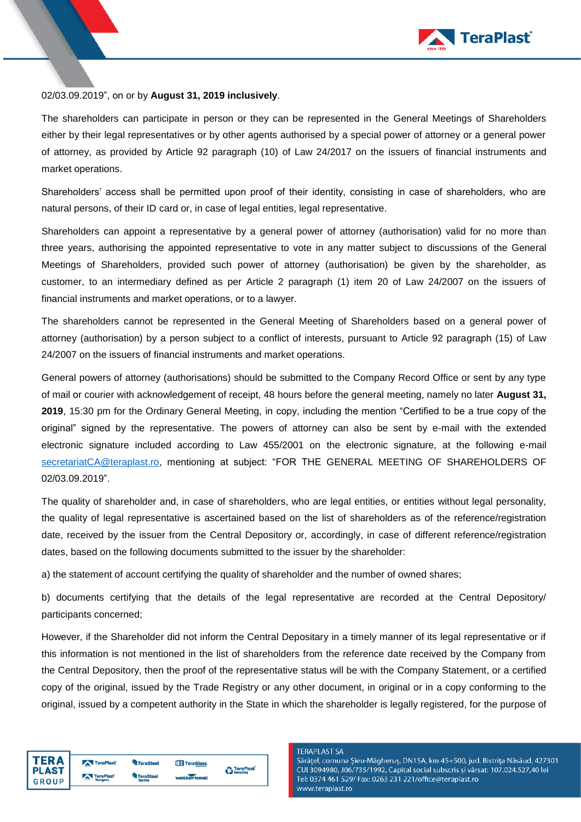

### 02/03.09.2019", on or by **August 31, 2019 inclusively**.

The shareholders can participate in person or they can be represented in the General Meetings of Shareholders either by their legal representatives or by other agents authorised by a special power of attorney or a general power of attorney, as provided by Article 92 paragraph (10) of Law 24/2017 on the issuers of financial instruments and market operations.

Shareholders' access shall be permitted upon proof of their identity, consisting in case of shareholders, who are natural persons, of their ID card or, in case of legal entities, legal representative.

Shareholders can appoint a representative by a general power of attorney (authorisation) valid for no more than three years, authorising the appointed representative to vote in any matter subject to discussions of the General Meetings of Shareholders, provided such power of attorney (authorisation) be given by the shareholder, as customer, to an intermediary defined as per Article 2 paragraph (1) item 20 of Law 24/2007 on the issuers of financial instruments and market operations, or to a lawyer.

The shareholders cannot be represented in the General Meeting of Shareholders based on a general power of attorney (authorisation) by a person subject to a conflict of interests, pursuant to Article 92 paragraph (15) of Law 24/2007 on the issuers of financial instruments and market operations.

General powers of attorney (authorisations) should be submitted to the Company Record Office or sent by any type of mail or courier with acknowledgement of receipt, 48 hours before the general meeting, namely no later **August 31, 2019**, 15:30 pm for the Ordinary General Meeting, in copy, including the mention "Certified to be a true copy of the original" signed by the representative. The powers of attorney can also be sent by e-mail with the extended electronic signature included according to Law 455/2001 on the electronic signature, at the following e-mail [secretariatCA@teraplast.ro,](mailto:secretariatCA@teraplast.ro) mentioning at subject: "FOR THE GENERAL MEETING OF SHAREHOLDERS OF 02/03.09.2019".

The quality of shareholder and, in case of shareholders, who are legal entities, or entities without legal personality, the quality of legal representative is ascertained based on the list of shareholders as of the reference/registration date, received by the issuer from the Central Depository or, accordingly, in case of different reference/registration dates, based on the following documents submitted to the issuer by the shareholder:

a) the statement of account certifying the quality of shareholder and the number of owned shares;

b) documents certifying that the details of the legal representative are recorded at the Central Depository/ participants concerned;

However, if the Shareholder did not inform the Central Depositary in a timely manner of its legal representative or if this information is not mentioned in the list of shareholders from the reference date received by the Company from the Central Depository, then the proof of the representative status will be with the Company Statement, or a certified copy of the original, issued by the Trade Registry or any other document, in original or in a copy conforming to the original, issued by a competent authority in the State in which the shareholder is legally registered, for the purpose of

| TERA                         | TeraPlast | <b>TeraSteel</b>           | TeraGlass' | <b>P</b> TeraPlast |
|------------------------------|-----------|----------------------------|------------|--------------------|
| <b>PLAST</b><br><b>GROUP</b> | TeraPlast | <b>TeraSteel</b><br>Serbia | webberbest | <b>Recycling</b>   |

#### **TERAPLAST SA**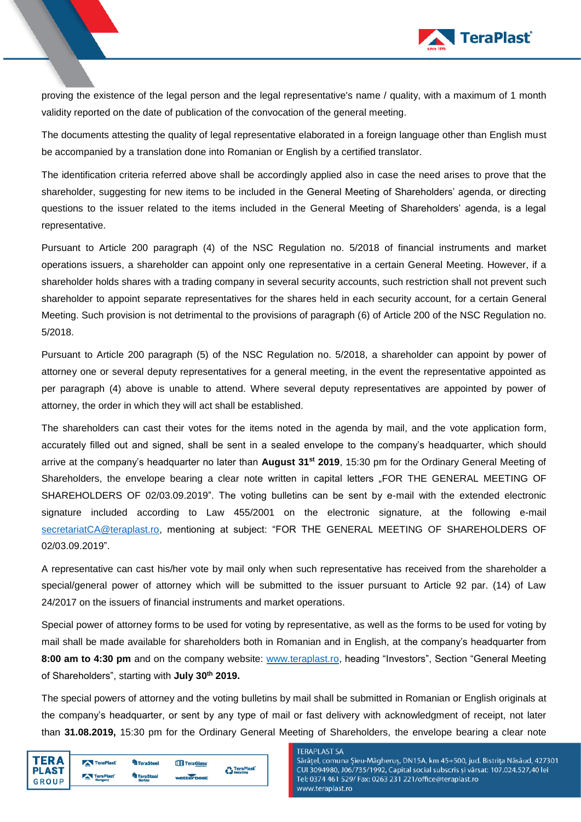

proving the existence of the legal person and the legal representative's name / quality, with a maximum of 1 month validity reported on the date of publication of the convocation of the general meeting.

The documents attesting the quality of legal representative elaborated in a foreign language other than English must be accompanied by a translation done into Romanian or English by a certified translator.

The identification criteria referred above shall be accordingly applied also in case the need arises to prove that the shareholder, suggesting for new items to be included in the General Meeting of Shareholders' agenda, or directing questions to the issuer related to the items included in the General Meeting of Shareholders' agenda, is a legal representative.

Pursuant to Article 200 paragraph (4) of the NSC Regulation no. 5/2018 of financial instruments and market operations issuers, a shareholder can appoint only one representative in a certain General Meeting. However, if a shareholder holds shares with a trading company in several security accounts, such restriction shall not prevent such shareholder to appoint separate representatives for the shares held in each security account, for a certain General Meeting. Such provision is not detrimental to the provisions of paragraph (6) of Article 200 of the NSC Regulation no. 5/2018.

Pursuant to Article 200 paragraph (5) of the NSC Regulation no. 5/2018, a shareholder can appoint by power of attorney one or several deputy representatives for a general meeting, in the event the representative appointed as per paragraph (4) above is unable to attend. Where several deputy representatives are appointed by power of attorney, the order in which they will act shall be established.

The shareholders can cast their votes for the items noted in the agenda by mail, and the vote application form, accurately filled out and signed, shall be sent in a sealed envelope to the company's headquarter, which should arrive at the company's headquarter no later than **August 31st 2019**, 15:30 pm for the Ordinary General Meeting of Shareholders, the envelope bearing a clear note written in capital letters "FOR THE GENERAL MEETING OF SHAREHOLDERS OF 02/03.09.2019". The voting bulletins can be sent by e-mail with the extended electronic signature included according to Law 455/2001 on the electronic signature, at the following e-mail [secretariatCA@teraplast.ro,](mailto:secretariatCA@teraplast.ro) mentioning at subject: "FOR THE GENERAL MEETING OF SHAREHOLDERS OF 02/03.09.2019".

A representative can cast his/her vote by mail only when such representative has received from the shareholder a special/general power of attorney which will be submitted to the issuer pursuant to Article 92 par. (14) of Law 24/2017 on the issuers of financial instruments and market operations.

Special power of attorney forms to be used for voting by representative, as well as the forms to be used for voting by mail shall be made available for shareholders both in Romanian and in English, at the company's headquarter from **8:00 am to 4:30 pm** and on the company website: [www.teraplast.ro,](http://www.teraplast.ro/) heading "Investors", Section "General Meeting of Shareholders", starting with **July 30 th 2019.**

The special powers of attorney and the voting bulletins by mail shall be submitted in Romanian or English originals at the company's headquarter, or sent by any type of mail or fast delivery with acknowledgment of receipt, not later than **31.08.2019,** 15:30 pm for the Ordinary General Meeting of Shareholders, the envelope bearing a clear note

| ΓFR Δ<br><b>PLAST</b><br><b>GROUP</b> | TeraPlast | <sup>Un</sup> TeraSteel    | TeraGlass' | <b>P</b> TeraPlast<br>Recycling |
|---------------------------------------|-----------|----------------------------|------------|---------------------------------|
|                                       | TeraPlast | <b>TeraSteel</b><br>Serbia | webberbest |                                 |
|                                       |           |                            |            |                                 |

#### **TERAPLAST SA**